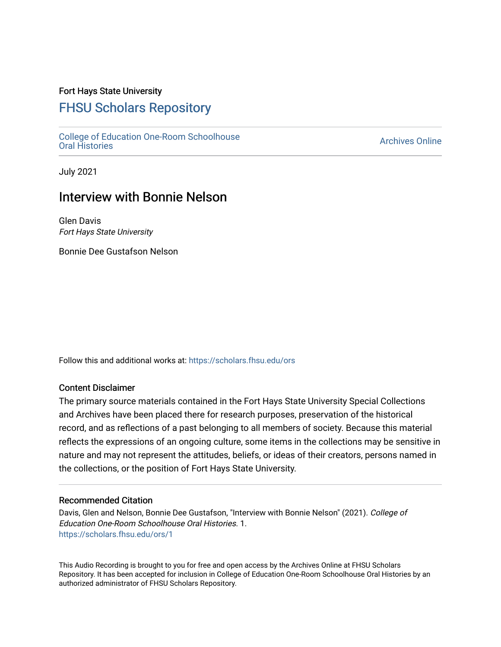## Fort Hays State University

# [FHSU Scholars Repository](https://scholars.fhsu.edu/)

[College of Education One-Room Schoolhouse](https://scholars.fhsu.edu/ors)<br>Oral Histories College of Education Orle-Room Schoolhouse<br>[Oral Histories](https://scholars.fhsu.edu/ors) Archives Online

July 2021

# Interview with Bonnie Nelson

Glen Davis Fort Hays State University

Bonnie Dee Gustafson Nelson

Follow this and additional works at: [https://scholars.fhsu.edu/ors](https://scholars.fhsu.edu/ors?utm_source=scholars.fhsu.edu%2Fors%2F1&utm_medium=PDF&utm_campaign=PDFCoverPages) 

#### Content Disclaimer

The primary source materials contained in the Fort Hays State University Special Collections and Archives have been placed there for research purposes, preservation of the historical record, and as reflections of a past belonging to all members of society. Because this material reflects the expressions of an ongoing culture, some items in the collections may be sensitive in nature and may not represent the attitudes, beliefs, or ideas of their creators, persons named in the collections, or the position of Fort Hays State University.

#### Recommended Citation

Davis, Glen and Nelson, Bonnie Dee Gustafson, "Interview with Bonnie Nelson" (2021). College of Education One-Room Schoolhouse Oral Histories. 1. [https://scholars.fhsu.edu/ors/1](https://scholars.fhsu.edu/ors/1?utm_source=scholars.fhsu.edu%2Fors%2F1&utm_medium=PDF&utm_campaign=PDFCoverPages) 

This Audio Recording is brought to you for free and open access by the Archives Online at FHSU Scholars Repository. It has been accepted for inclusion in College of Education One-Room Schoolhouse Oral Histories by an authorized administrator of FHSU Scholars Repository.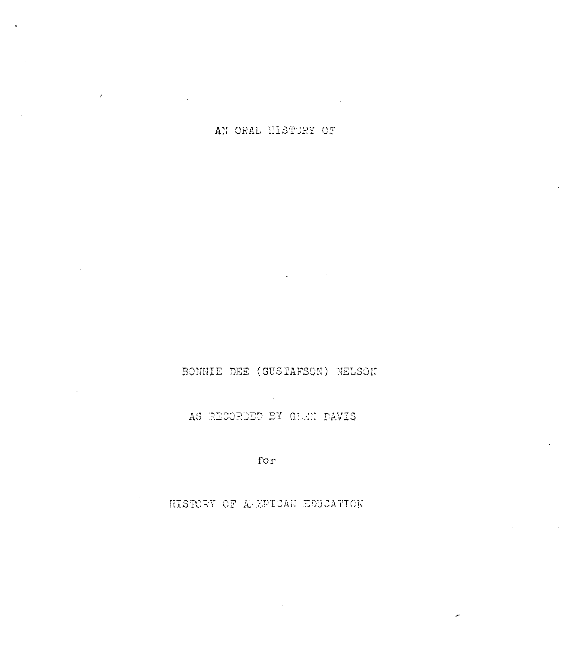AN ORAL HISTORY OF

 $\sim t \sim 1$ 

 $\sim$ 

### BONNIE DEE (GUSTAFSON) NELSON

 $\mathcal{L}^{\mathcal{L}}(\mathbf{Q})$  and  $\mathcal{L}^{\mathcal{L}}(\mathbf{Q})$  . The contribution

### AS RECORDED BY GLEN DAVIS

 $\sim 10^6$ 

for

HISTORY OF ALERICAN EDUCATION

 $\sim 100$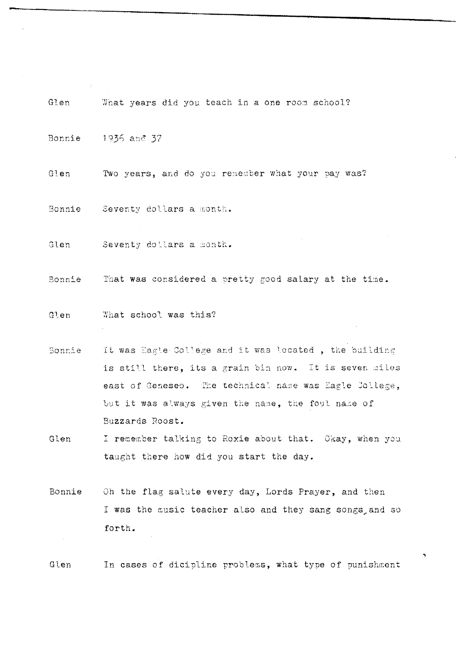|               | Glen What years did you teach in a one room school?          |
|---------------|--------------------------------------------------------------|
|               | Bonnie 1936 and 37                                           |
| Glen          | Two years, and do you remember what your pay was?            |
|               | Bonnie Seventy dollars a month.                              |
| Glen          | Seventy dollars a month.                                     |
|               | Bonnie That was considered a pretty good salary at the time. |
| Glen          | What school was this?                                        |
| <b>Bonnie</b> | It was Eagle College and it was located, the building        |
|               | is still there, its a grain bin now. It is seven miles       |
|               | east of Geneseo. The technical name was Eagle College,       |
|               | but it was always given the name, the foul name of           |
|               | Buzzards Roost.                                              |
| Glen          | I remember talking to Roxie about that. Okay, when you       |
|               | taught there how did you start the day.                      |
| Bonnie        | Oh the flag salute every day, Lords Prayer, and then         |

 $\left\langle T_{\rm{eff}}\right\rangle_{\rm{eff}}$ 

I was the music teacher also and they sang songs and so forth.  $\bar{z}$ 

In cases of dicipline problems, what type of punishment Glen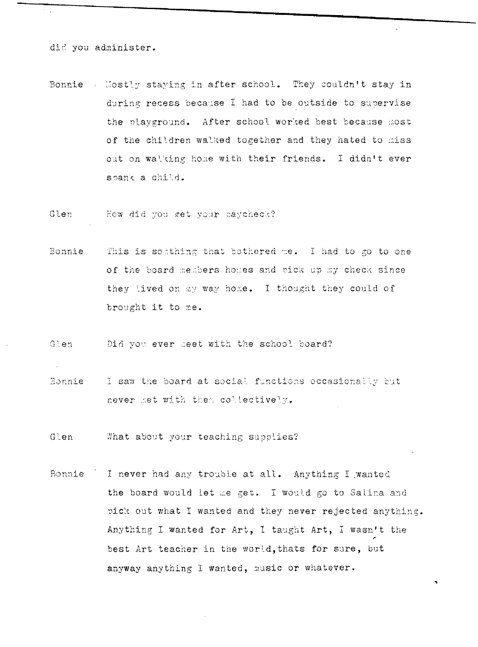did you administer.

Bonnie / Hostly staying in after school. They couldn't stay in during recess because I had to be outside to supervise the playground. After school worked best because most of the children walked together and they hated to miss out on walking home with their friends. I didn't ever spank a child.

Glen How did you get your paycheck?

- This is somthing that bothered me. I had to go to one Bonnie of the board members homes and pick up my check since they lived on my way home. I thought they could of brought it to me.
- Glen Did you ever deet with the school board?
- I saw the board at social functions occasionally but Bonnie never met with them collectively.

What about your teaching supplies? Glen

Bonnie I never had any trouble at all. Anything I wanted the board would let me get. I would go to Salina and pick out what I wanted and they never rejected anything. Anything I wanted for Art, I taught Art, I wasn't the best Art teacher in the world, thats for sure, but anyway anything I wanted, music or whatever.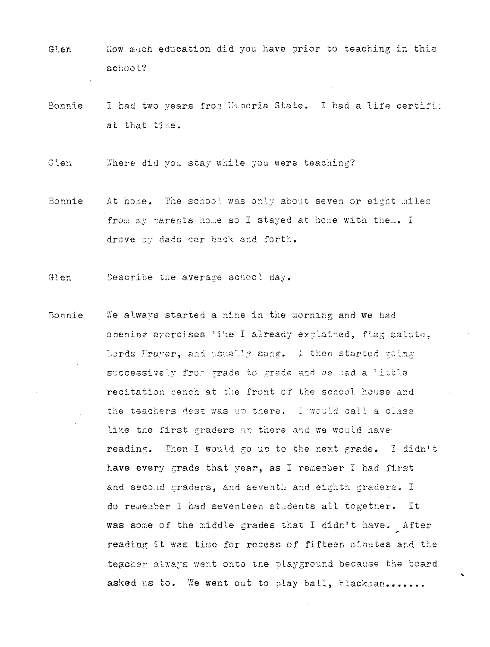- Glen How much education did you have prior to teaching in this school?
- Bonnie I had two years from Exporia State. I had a life certific at that time.
- Glen Where did you stay while you were teaching?
- Bonnie<sup>-</sup> At home. The school was only about seven or eight miles from my parents home so I stayed at home with them. I drove my dads car back and forth.
- Describe the average school day.  $Glen$
- We always started a nine in the morning and we had Bonnie opening eyercises like I already explained. flag salute. Lords Prayer, and usually sang. I then started going successively from grade to grade and we had a little recitation bench at the front of the school house and the teachers dest was up there. I would call a class like the first graders ar there and we would have reading. Then I would go up to the next grade. I didn't have every grade that year, as I remember I had first and second graders, and seventh and eighth graders. I do remember I had seventeen students all together. It was some of the middle grades that I didn't have. After reading it was time for recess of fifteen minutes and the tegoher always went onto the playground because the board asked us to. We went out to play ball, blackman.......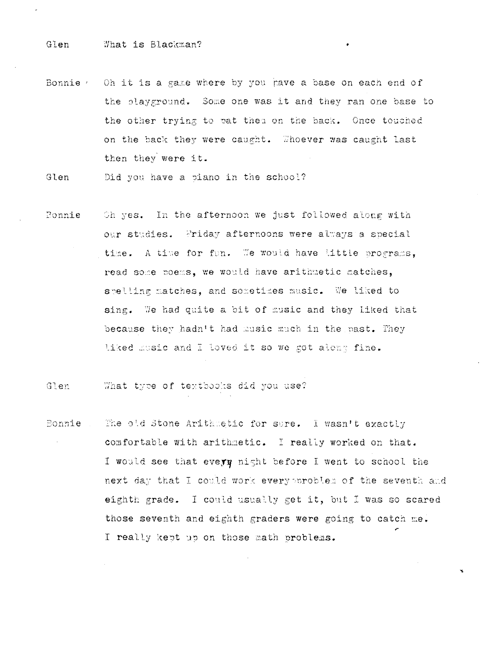Bonnie  $\ell$  Oh it is a game where by you have a base on each end of the playground. Some one was it and they ran one base to the other trying to pat then on the back. Once touched on the back they were caught. Whoever was caught last then they were it.

Glen Did you have a piano in the school?

Oh yes. In the afternoon we just followed along with Bonnie our studies. Priday afternoons were always a special time. A time for fun. We would have little programs, read some poems, we would have arithmetic matches, spelling matches, and sometimes music. We liked to sing. We had quite a bit of music and they liked that because they hadn't had music much in the past. They liked music and I loved it so we got along fine.

Glen What type of textbooks did you use?

The old Stone Arithmetic for sure. I wasn't exactly Bonnie comfortable with arithmetic. I really worked on that. I would see that every night before I went to school the next day that I could work every problem of the seventh and eighth grade. I could usually get it, but I was so scared those seventh and eighth graders were going to catch me. I really kept up on those math problems.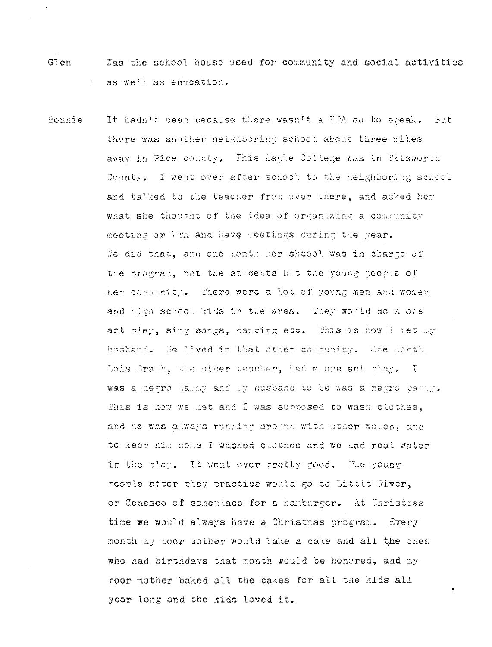- Glen Was the school house used for community and social activities as well as education.
- Bonnie It hadn't been because there wasn't a PTA so to speak. But there was another neighboring school about three miles away in Rice county. This Eagle College was in Ellsworth County. I went over after school to the neighboring school and talked to the teacher from over there, and asked her what she thought of the idea of organizing a community meeting or FTA and have meetings during the year. We did that, and one month her shoool was in charge of the program, not the students but the young people of her community. There were a lot of young men and women and high school kids in the area. They would do a one act play, sing songs, dancing etc. This is how I net my husband. He lived in that other community. One month Lois Cramb, the other teacher, had a one act clay. I was a newpo lammy and my nusband to be was a newpo carry. This is how we met and I was supposed to wash clothes. and he was always running around with other women, and to keep him home I washed clothes and we had real water in the play. It went over pretty good. The young neonle after play practice would go to Little River, or Geneseo of someplace for a hamburger. At Christmas time we would always have a Christmas program. Every month my poor mother would bake a cake and all the ones who had birthdays that month would be honored, and my poor mother baked all the cakes for all the kids all year long and the kids loved it.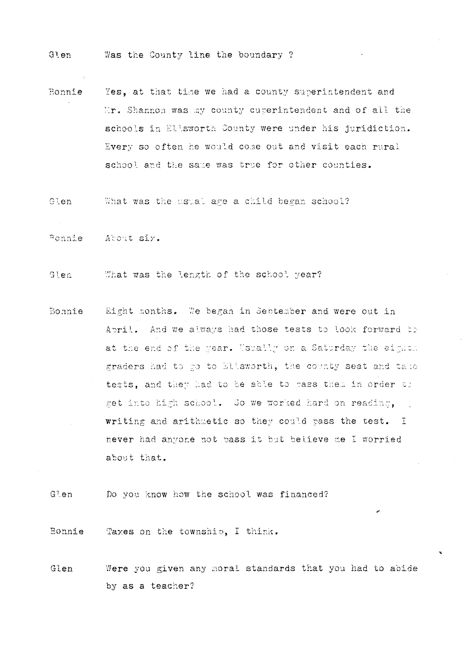- Glen Was the County line the boundary ?
- Yes, at that time we had a county superintendent and Bonnie Er. Shannon was my county curerintendent and of all the schools in Ellsworth County were under his juridiction. Every so often he would come out and visit each rural school and the same was true for other counties.
- Glen What was the usual age a child began school?

Ponnie About siy.

Glen What was the length of the school year?

Eight nonths. We began in September and were out in Bonnie April. And we always had those tests to look forward to at the end of the year. Usually on a Saturday the eighth graders had to go to Ellsworth, the county seat and take tests, and they had to be able to pass them in order to get into high school. So we worked hard on reading. writing and arithmetic so they could pass the test. I never had anyone not pass it but believe me I worried about that.

 $G^{\intercal}$ en Do you know how the school was financed?

Bonnie Taxes on the township, I think.

Glen Were you given any moral standards that you had to abide by as a teacher?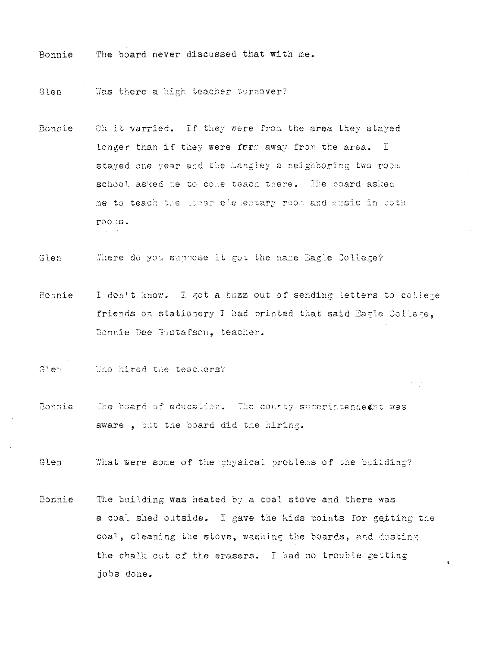The board never discussed that with me. Bonnie

Was there a high teacher turnover? Glen

Oh it varried. If they were from the area they stayed Bonnie longer than if they were form away from the area. I stayed one year and the Langley a neighboring two room school asked me to come teach there. The board asked me to teach the lower elementary room and music in both  $\texttt{roots}.$ 

Glen Where do you suppose it got the name Eagle College?

I don't know. I got a buzz out of sending letters to college Bonnie friends on stationery I had printed that said Easle Collese, Bonnie Dee Gustafson, teacher.

Who hired the teachers?  $G \cdot e \wedge$ 

**Eonnie** The board of education. The county superintendednt was aware, but the board did the hiring.

Glen What were some of the physical problems of the building?

The building was heated by a coal stove and there was Bonnie a coal shed outside. I gave the kids points for getting the coal, cleaning the stove, washing the boards, and dusting the chalk out of the erasers. I had no trouble getting jobs done.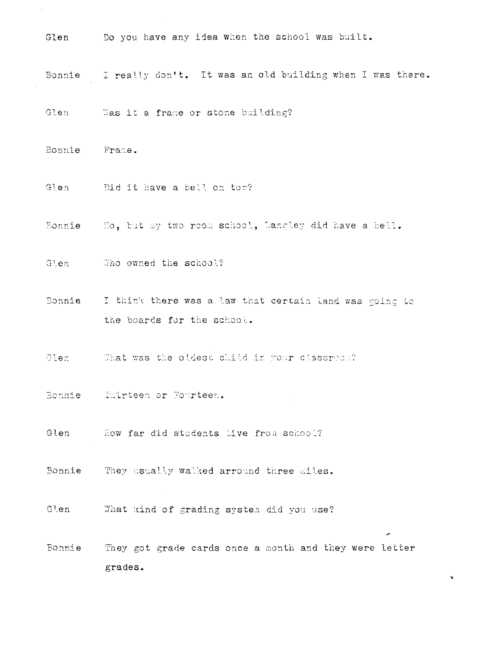- Glen Do you have any idea when the school was built. Bonnie I really don't. It was an old building when I was there. Glen Was it a frame or stone building? Bonnie Frame. Did it have a bell on ton? Glen Eonnie Mo, but my two room school, Langley did have a bell. Glen Who owned the school? Sonnie I think there was a law that certain land was going to the boards for the school. Glen - That was the oldest child in your classred.2 Bonnie Mairteen or Fourteen. Glen How far did students live from school? Bonnie They usually walked arround three siles.
- Glen What kind of grading system did you use?
- Bonnie They got grade cards once a month and they were letter  $grades.$

 $\tilde{\mathbf{x}}$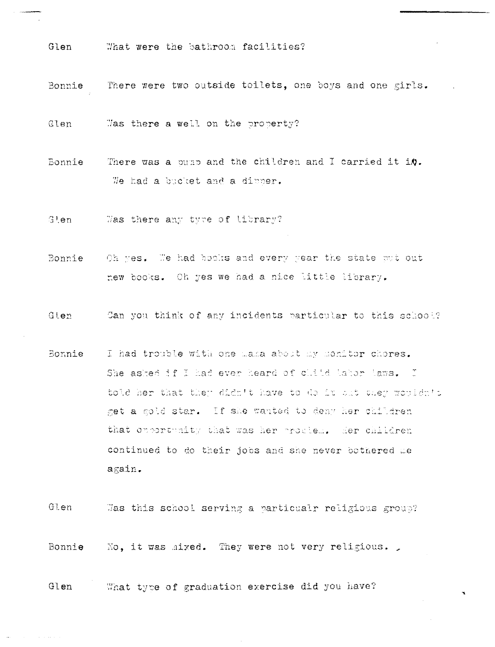Glen What were the bathroom facilities?

There were two outside toilets, one boys and one girls. Bonnie

**Glen** Was there a well on the property?

There was a ounp and the children and I carried it i.0. Bonnie We had a bucket and a dinner.

Was there any tyre of library? Glen -

- Bonnie Oh yes. We had books and every year the state but out new books. Oh yes we had a nice little library.
- Glen Can you think of any incidents particular to this school?
- I had trouble with one maka about my monitor chores. Bonnie She asked if I had ever heard of clitd tabor taws. I told her that they didn't have to de it alt they wouldn't get a gold star. If she wanted to deny her children that opportunity that was her proclem. Her children continued to do their jobs and she never bothered me again.

 $Glen$ Was this school serving a particualr religious group?

Bonnie No, it was mixed. They were not very religious.

What type of graduation exercise did you have? Glen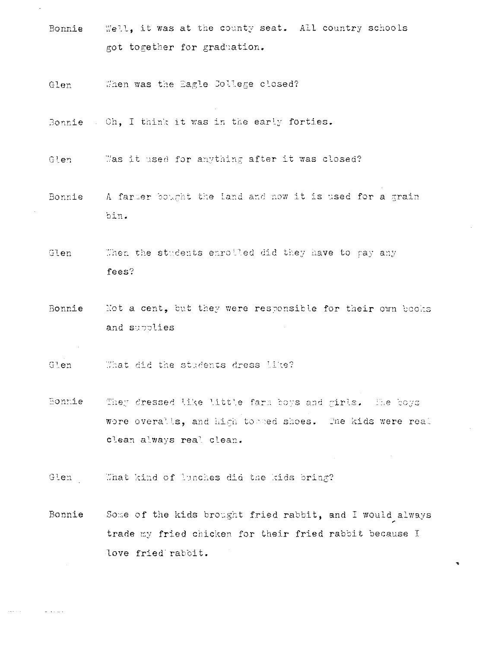- Bonnie Well, it was at the county seat. All country schools got together for graduation.
- When was the Eagle College closed? Glen
- Bonnie . Oh, I think it was in the early forties.
- Was it used for anything after it was closed? Glen
- A farmer bought the land and now it is used for a grain Bonnie bin.
- Then the students enrolled did they have to pay any Glen fees?
- Bonnie Not a cent, but they were responsible for their own books and subplies
- Glen What did the students dress like?
- Bonnie They dressed like little farm boys and girls. The boys wore overalls, and high to med shoes. The kids were real clean always real clean.
- What kind of lunches did the kids bring? Glen
- Some of the kids brought fried rabbit, and I would always Bonnie trade my fried chicken for their fried rabbit because I love fried raboit.